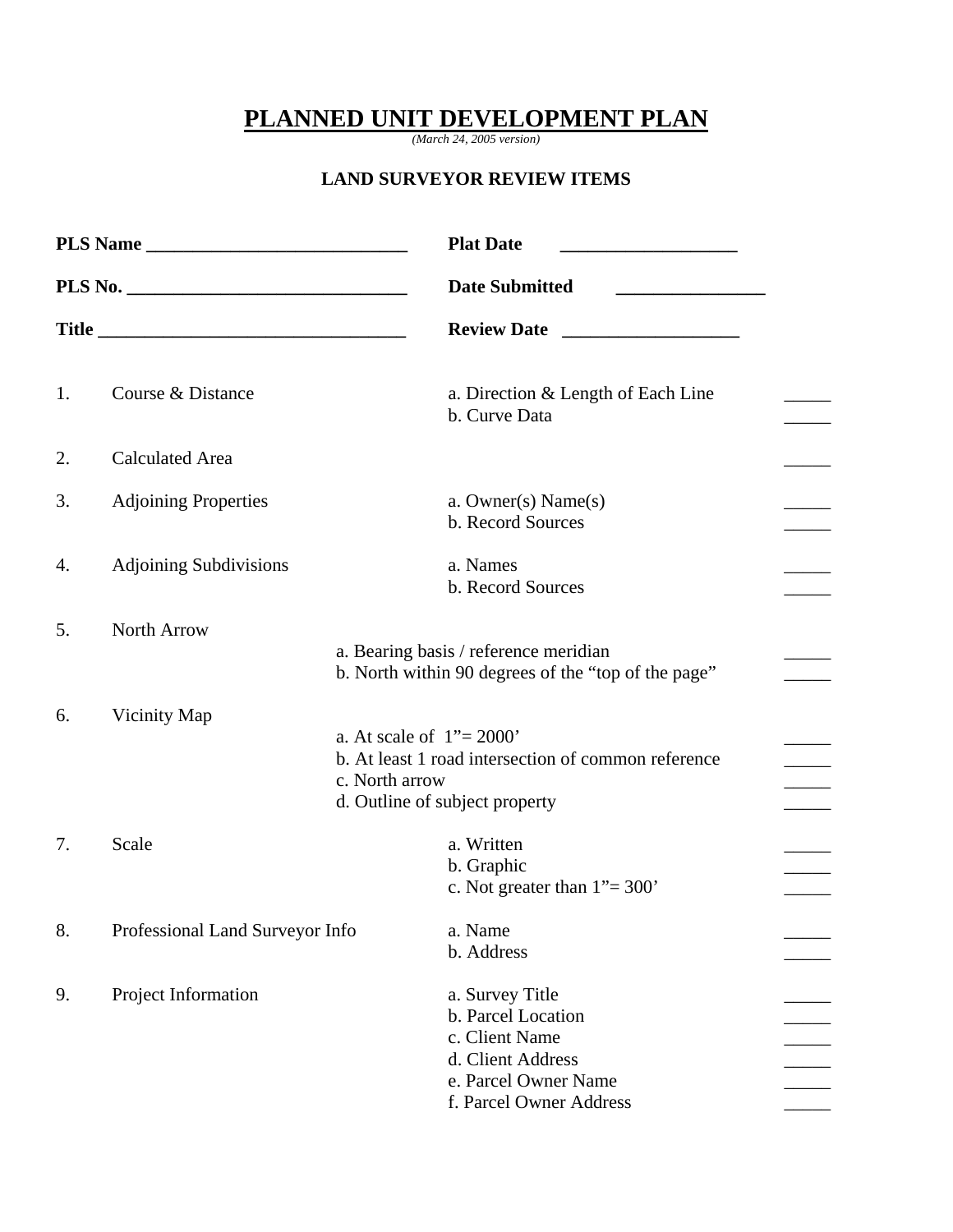## **PLANNED UNIT DEVELOPMENT PLAN**

*(March 24, 2005 version)* 

## **LAND SURVEYOR REVIEW ITEMS**

|    | PLS Name                        | <b>Plat Date</b><br><u> 1989 - Johann Barbara, martin amerikan ba</u>                                                                                   |
|----|---------------------------------|---------------------------------------------------------------------------------------------------------------------------------------------------------|
|    |                                 | <b>Date Submitted</b>                                                                                                                                   |
|    |                                 | <b>Review Date</b>                                                                                                                                      |
| 1. | Course & Distance               | a. Direction & Length of Each Line<br>b. Curve Data                                                                                                     |
| 2. | <b>Calculated Area</b>          |                                                                                                                                                         |
| 3. | <b>Adjoining Properties</b>     | a. Owner(s) $Name(s)$<br>b. Record Sources                                                                                                              |
| 4. | <b>Adjoining Subdivisions</b>   | a. Names<br>b. Record Sources                                                                                                                           |
| 5. | North Arrow                     | a. Bearing basis / reference meridian<br>b. North within 90 degrees of the "top of the page"                                                            |
| 6. | Vicinity Map                    | a. At scale of $1" = 2000"$<br>b. At least 1 road intersection of common reference<br>c. North arrow<br>$\frac{1}{1}$<br>d. Outline of subject property |
| 7. | Scale                           | a. Written<br>b. Graphic<br>c. Not greater than $1" = 300"$                                                                                             |
| 8. | Professional Land Surveyor Info | a. Name<br>b. Address                                                                                                                                   |
| 9. | Project Information             | a. Survey Title<br>b. Parcel Location<br>c. Client Name<br>d. Client Address<br>e. Parcel Owner Name<br>f. Parcel Owner Address                         |